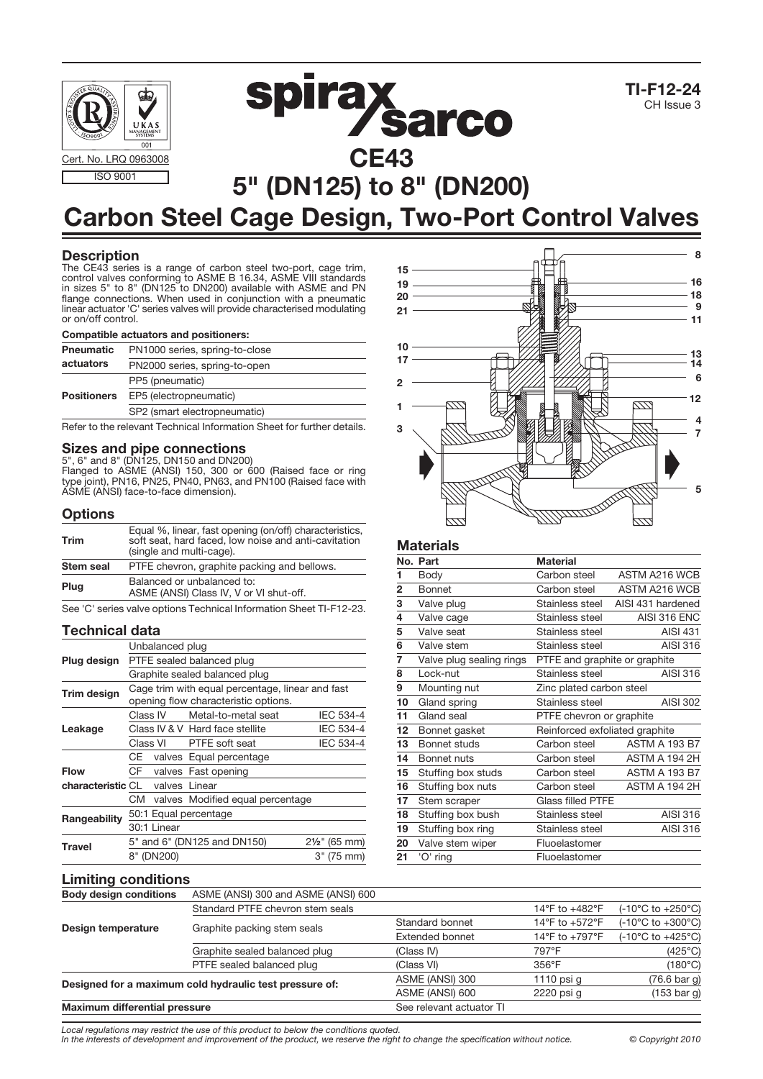





# 5" (DN125) to 8" (DN200) Carbon Steel Cage Design, Two-Port Control Valves

# **Description**

The CE43 series is a range of carbon steel two-port, cage trim, control valves conforming to ASME B 16.34, ASME VIII standards in sizes 5" to 8" (DN125 to DN200) available with ASME and PN flange connections. When used in conjunction with a pneumatic linear actuator 'C' series valves will provide characterised modulating or on/off control.

#### Compatible actuators and positioners:

| PN1000 series, spring-to-close<br><b>Pneumatic</b> |                               |
|----------------------------------------------------|-------------------------------|
| actuators                                          | PN2000 series, spring-to-open |
|                                                    | PP5 (pneumatic)               |
| <b>Positioners</b>                                 | EP5 (electropneumatic)        |
|                                                    | SP2 (smart electropneumatic)  |
|                                                    |                               |

Refer to the relevant Technical Information Sheet for further details.

# Sizes and pipe connections<br>5", 6" and 8" (DN125, DN150 and DN200)

Flanged to ASME (ANSI) 150, 300 or 600 (Raised face or ring type joint), PN16, PN25, PN40, PN63, and PN100 (Raised face with ASME (ANSI) face-to-face dimension).

#### **Options**

| Trim      | Equal %, linear, fast opening (on/off) characteristics, soft seat, hard faced, low noise and anti-cavitation<br>(single and multi-cage). |
|-----------|------------------------------------------------------------------------------------------------------------------------------------------|
| Stem seal | PTFE chevron, graphite packing and bellows.                                                                                              |
| Plug      | Balanced or unbalanced to:<br>ASME (ANSI) Class IV, V or VI shut-off.                                                                    |

See 'C' series valve options Technical Information Sheet TI-F12-23.

#### Technical data

|                                        | Unbalanced plug           |             |                                                  |                          |  |
|----------------------------------------|---------------------------|-------------|--------------------------------------------------|--------------------------|--|
| Plug design                            | PTFE sealed balanced plug |             |                                                  |                          |  |
|                                        |                           |             | Graphite sealed balanced plug                    |                          |  |
| Trim design                            |                           |             | Cage trim with equal percentage, linear and fast |                          |  |
|                                        |                           |             | opening flow characteristic options.             |                          |  |
|                                        |                           | Class IV    | Metal-to-metal seat                              | IEC 534-4                |  |
| Leakage                                |                           |             | Class IV & V Hard face stellite                  | <b>IEC 534-4</b>         |  |
|                                        |                           |             | Class VI PTFE soft seat                          | <b>IEC 534-4</b>         |  |
|                                        | CE                        |             | valves Equal percentage                          |                          |  |
| <b>Flow</b>                            |                           |             | CF valves Fast opening                           |                          |  |
| <b>characteristic CL</b> valves Linear |                           |             |                                                  |                          |  |
|                                        | СM                        |             | valves Modified equal percentage                 |                          |  |
| Rangeability                           |                           |             | 50:1 Equal percentage                            |                          |  |
|                                        |                           | 30:1 Linear |                                                  |                          |  |
| Travel                                 |                           |             | 5" and 6" (DN125 and DN150)                      | $2\frac{1}{2}$ " (65 mm) |  |
|                                        |                           | 8" (DN200)  |                                                  | 3" (75 mm)               |  |



#### **Materials**

|                | No. Part                 | <b>Material</b>                |                      |
|----------------|--------------------------|--------------------------------|----------------------|
| 1              | Body                     | Carbon steel                   | ASTM A216 WCB        |
| $\overline{2}$ | <b>Bonnet</b>            | Carbon steel                   | ASTM A216 WCB        |
| 3              | Valve plug               | Stainless steel                | AISI 431 hardened    |
| 4              | Valve cage               | Stainless steel                | AISI 316 ENC         |
| 5              | Valve seat               | Stainless steel                | <b>AISI 431</b>      |
| 6              | Valve stem               | Stainless steel                | <b>AISI 316</b>      |
| 7              | Valve plug sealing rings | PTFE and graphite or graphite  |                      |
| 8              | Lock-nut                 | Stainless steel                | AISI 316             |
| 9              | Mounting nut             | Zinc plated carbon steel       |                      |
| 10             | Gland spring             | Stainless steel                | <b>AISI 302</b>      |
| 11             | Gland seal               | PTFE chevron or graphite       |                      |
| 12             | Bonnet gasket            | Reinforced exfoliated graphite |                      |
| 13             | Bonnet studs             | Carbon steel                   | <b>ASTM A 193 B7</b> |
| 14             | Bonnet nuts              | Carbon steel                   | <b>ASTM A 194 2H</b> |
| 15             | Stuffing box studs       | Carbon steel                   | <b>ASTM A 193 B7</b> |
| 16             | Stuffing box nuts        | Carbon steel                   | ASTM A 194 2H        |
| 17             | Stem scraper             | <b>Glass filled PTFE</b>       |                      |
| 18             | Stuffing box bush        | Stainless steel                | AISI 316             |
| 19             | Stuffing box ring        | Stainless steel                | AISI 316             |
| 20             |                          |                                |                      |
|                | Valve stem wiper         | Fluoelastomer                  |                      |

## **Limiting conditions**

| <b>Body design conditions</b>                           | ASME (ANSI) 300 and ASME (ANSI) 600 |                          |                   |                                       |
|---------------------------------------------------------|-------------------------------------|--------------------------|-------------------|---------------------------------------|
|                                                         | Standard PTFE chevron stem seals    |                          | 14°F to $+482$ °F | $(-10^{\circ}$ C to $+250^{\circ}$ C) |
| Design temperature                                      | Graphite packing stem seals         | Standard bonnet          | 14°F to +572°F    | $(-10^{\circ}$ C to $+300^{\circ}$ C) |
|                                                         |                                     | <b>Extended bonnet</b>   | 14°F to $+797$ °F | $(-10^{\circ}$ C to $+425^{\circ}$ C) |
|                                                         | Graphite sealed balanced plug       | (Class IV)               | 797°F             | $(425^{\circ}C)$                      |
|                                                         | PTFE sealed balanced plug           | (Class VI)               | $356^{\circ}$ F   | $(180^{\circ}C)$                      |
| Designed for a maximum cold hydraulic test pressure of: |                                     | ASME (ANSI) 300          | 1110 psi $q$      | $(76.6 \text{ bar } q)$               |
|                                                         |                                     | ASME (ANSI) 600          | 2220 psi q        | $(153 \text{ bar } g)$                |
| <b>Maximum differential pressure</b>                    |                                     | See relevant actuator TI |                   |                                       |

Local regulations may restrict the use of this product to below the conditions quoted.

In the interests of development and improvement of the product, we reserve the right to change the specification without notice. © Copyright 2010